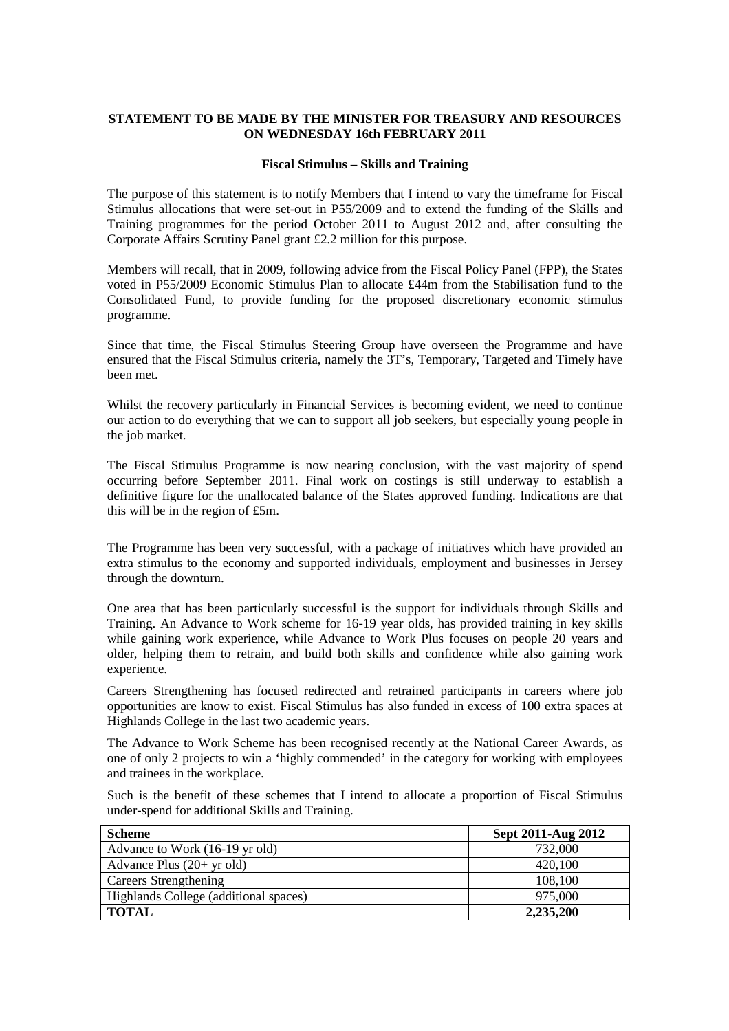### **STATEMENT TO BE MADE BY THE MINISTER FOR TREASURY AND RESOURCES ON WEDNESDAY 16th FEBRUARY 2011**

#### **Fiscal Stimulus – Skills and Training**

The purpose of this statement is to notify Members that I intend to vary the timeframe for Fiscal Stimulus allocations that were set-out in P55/2009 and to extend the funding of the Skills and Training programmes for the period October 2011 to August 2012 and, after consulting the Corporate Affairs Scrutiny Panel grant £2.2 million for this purpose.

Members will recall, that in 2009, following advice from the Fiscal Policy Panel (FPP), the States voted in P55/2009 Economic Stimulus Plan to allocate £44m from the Stabilisation fund to the Consolidated Fund, to provide funding for the proposed discretionary economic stimulus programme.

Since that time, the Fiscal Stimulus Steering Group have overseen the Programme and have ensured that the Fiscal Stimulus criteria, namely the 3T's, Temporary, Targeted and Timely have been met.

Whilst the recovery particularly in Financial Services is becoming evident, we need to continue our action to do everything that we can to support all job seekers, but especially young people in the job market.

The Fiscal Stimulus Programme is now nearing conclusion, with the vast majority of spend occurring before September 2011. Final work on costings is still underway to establish a definitive figure for the unallocated balance of the States approved funding. Indications are that this will be in the region of £5m.

The Programme has been very successful, with a package of initiatives which have provided an extra stimulus to the economy and supported individuals, employment and businesses in Jersey through the downturn.

One area that has been particularly successful is the support for individuals through Skills and Training. An Advance to Work scheme for 16-19 year olds, has provided training in key skills while gaining work experience, while Advance to Work Plus focuses on people 20 years and older, helping them to retrain, and build both skills and confidence while also gaining work experience.

Careers Strengthening has focused redirected and retrained participants in careers where job opportunities are know to exist. Fiscal Stimulus has also funded in excess of 100 extra spaces at Highlands College in the last two academic years.

The Advance to Work Scheme has been recognised recently at the National Career Awards, as one of only 2 projects to win a 'highly commended' in the category for working with employees and trainees in the workplace.

Such is the benefit of these schemes that I intend to allocate a proportion of Fiscal Stimulus under-spend for additional Skills and Training.

| <b>Scheme</b>                         | Sept 2011-Aug 2012 |
|---------------------------------------|--------------------|
| Advance to Work (16-19 yr old)        | 732,000            |
| Advance Plus $(20+$ yr old)           | 420,100            |
| Careers Strengthening                 | 108,100            |
| Highlands College (additional spaces) | 975,000            |
| <b>TOTAL</b>                          | 2,235,200          |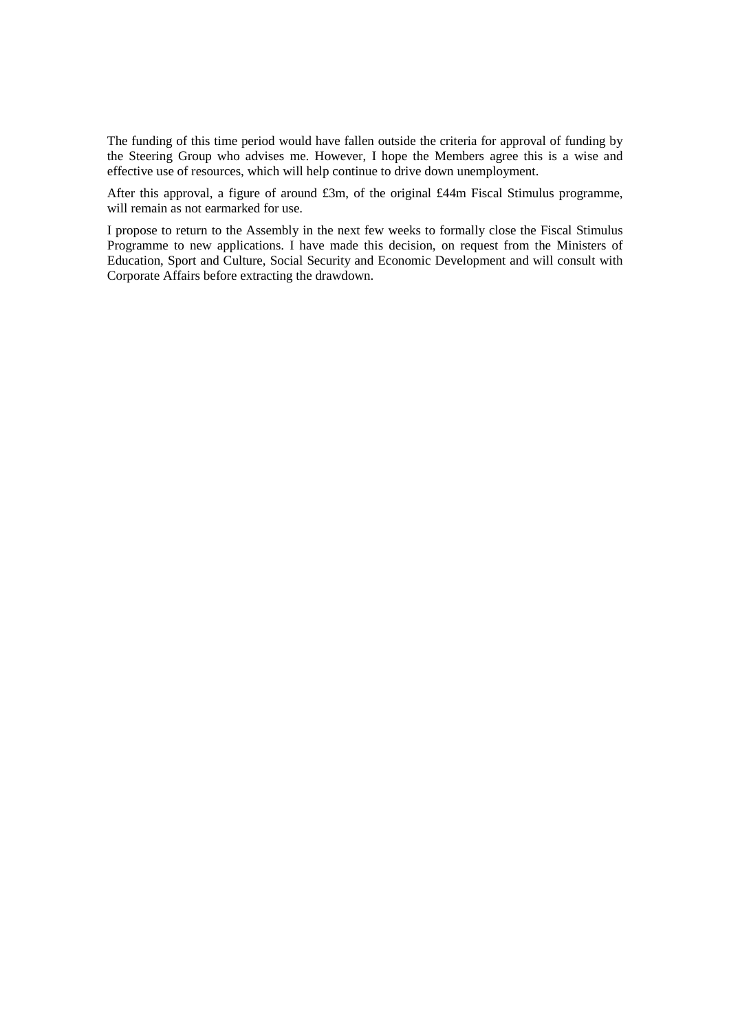The funding of this time period would have fallen outside the criteria for approval of funding by the Steering Group who advises me. However, I hope the Members agree this is a wise and effective use of resources, which will help continue to drive down unemployment.

After this approval, a figure of around £3m, of the original £44m Fiscal Stimulus programme, will remain as not earmarked for use.

I propose to return to the Assembly in the next few weeks to formally close the Fiscal Stimulus Programme to new applications. I have made this decision, on request from the Ministers of Education, Sport and Culture, Social Security and Economic Development and will consult with Corporate Affairs before extracting the drawdown.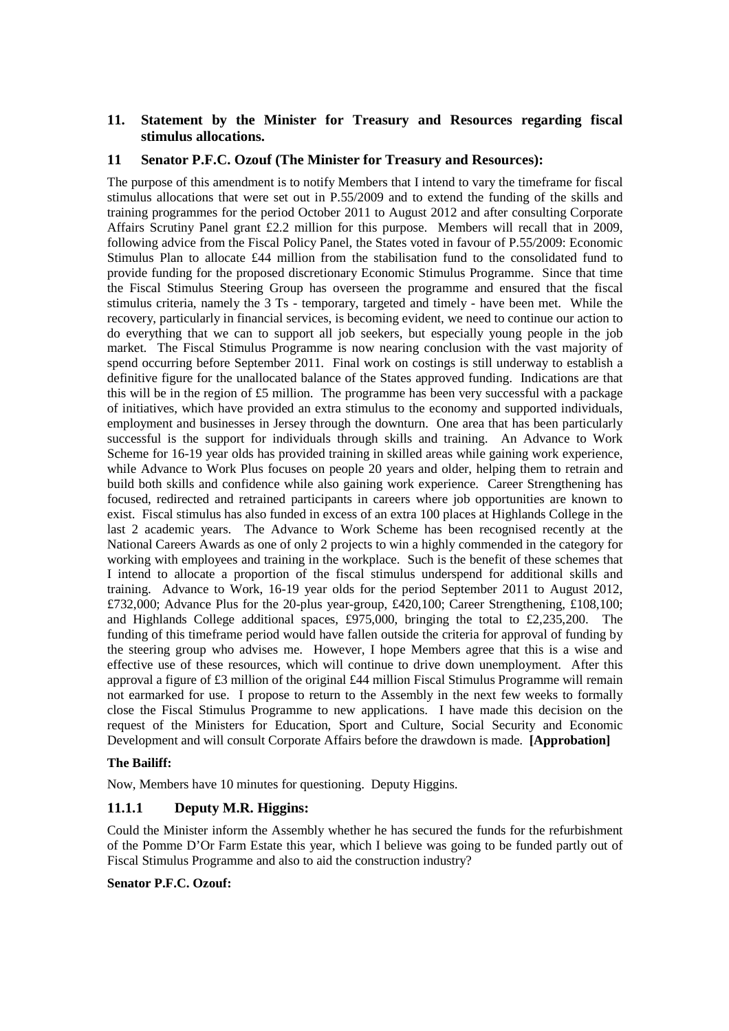## **11. Statement by the Minister for Treasury and Resources regarding fiscal stimulus allocations.**

### **11 Senator P.F.C. Ozouf (The Minister for Treasury and Resources):**

The purpose of this amendment is to notify Members that I intend to vary the timeframe for fiscal stimulus allocations that were set out in P.55/2009 and to extend the funding of the skills and training programmes for the period October 2011 to August 2012 and after consulting Corporate Affairs Scrutiny Panel grant £2.2 million for this purpose. Members will recall that in 2009, following advice from the Fiscal Policy Panel, the States voted in favour of P.55/2009: Economic Stimulus Plan to allocate £44 million from the stabilisation fund to the consolidated fund to provide funding for the proposed discretionary Economic Stimulus Programme. Since that time the Fiscal Stimulus Steering Group has overseen the programme and ensured that the fiscal stimulus criteria, namely the 3 Ts - temporary, targeted and timely - have been met. While the recovery, particularly in financial services, is becoming evident, we need to continue our action to do everything that we can to support all job seekers, but especially young people in the job market. The Fiscal Stimulus Programme is now nearing conclusion with the vast majority of spend occurring before September 2011. Final work on costings is still underway to establish a definitive figure for the unallocated balance of the States approved funding. Indications are that this will be in the region of £5 million. The programme has been very successful with a package of initiatives, which have provided an extra stimulus to the economy and supported individuals, employment and businesses in Jersey through the downturn. One area that has been particularly successful is the support for individuals through skills and training. An Advance to Work Scheme for 16-19 year olds has provided training in skilled areas while gaining work experience, while Advance to Work Plus focuses on people 20 years and older, helping them to retrain and build both skills and confidence while also gaining work experience. Career Strengthening has focused, redirected and retrained participants in careers where job opportunities are known to exist. Fiscal stimulus has also funded in excess of an extra 100 places at Highlands College in the last 2 academic years. The Advance to Work Scheme has been recognised recently at the National Careers Awards as one of only 2 projects to win a highly commended in the category for working with employees and training in the workplace. Such is the benefit of these schemes that I intend to allocate a proportion of the fiscal stimulus underspend for additional skills and training. Advance to Work, 16-19 year olds for the period September 2011 to August 2012, £732,000; Advance Plus for the 20-plus year-group, £420,100; Career Strengthening, £108,100; and Highlands College additional spaces, £975,000, bringing the total to £2,235,200. The funding of this timeframe period would have fallen outside the criteria for approval of funding by the steering group who advises me. However, I hope Members agree that this is a wise and effective use of these resources, which will continue to drive down unemployment. After this approval a figure of £3 million of the original £44 million Fiscal Stimulus Programme will remain not earmarked for use. I propose to return to the Assembly in the next few weeks to formally close the Fiscal Stimulus Programme to new applications. I have made this decision on the request of the Ministers for Education, Sport and Culture, Social Security and Economic Development and will consult Corporate Affairs before the drawdown is made. **[Approbation]**

### **The Bailiff:**

Now, Members have 10 minutes for questioning. Deputy Higgins.

# **11.1.1 Deputy M.R. Higgins:**

Could the Minister inform the Assembly whether he has secured the funds for the refurbishment of the Pomme D'Or Farm Estate this year, which I believe was going to be funded partly out of Fiscal Stimulus Programme and also to aid the construction industry?

#### **Senator P.F.C. Ozouf:**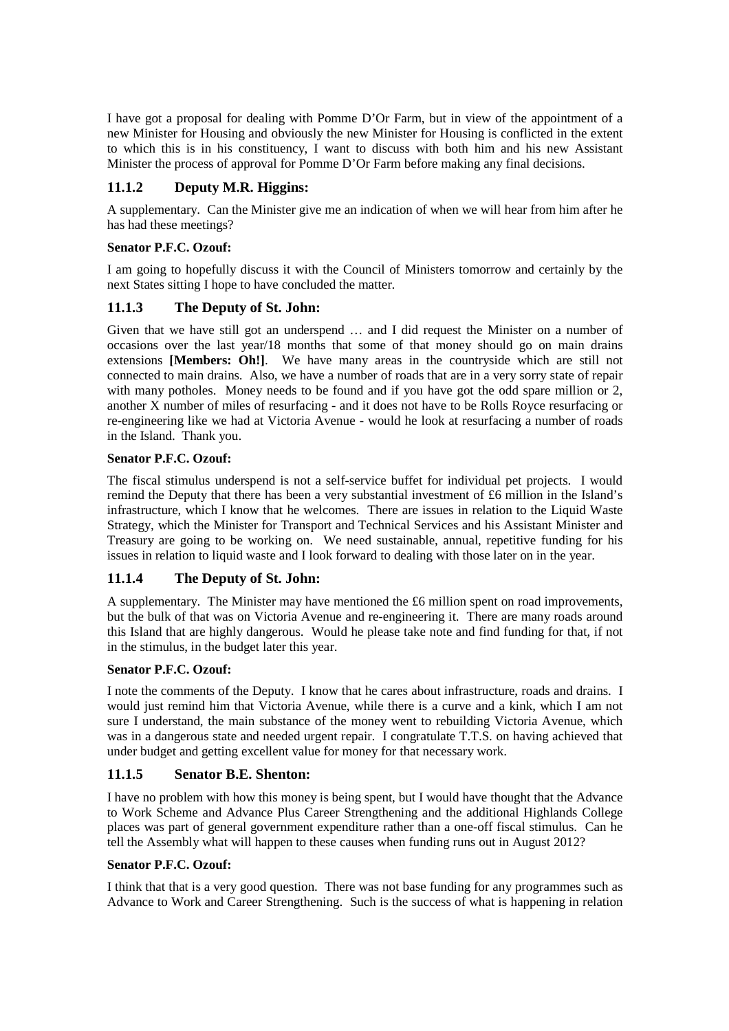I have got a proposal for dealing with Pomme D'Or Farm, but in view of the appointment of a new Minister for Housing and obviously the new Minister for Housing is conflicted in the extent to which this is in his constituency, I want to discuss with both him and his new Assistant Minister the process of approval for Pomme D'Or Farm before making any final decisions.

# **11.1.2 Deputy M.R. Higgins:**

A supplementary. Can the Minister give me an indication of when we will hear from him after he has had these meetings?

## **Senator P.F.C. Ozouf:**

I am going to hopefully discuss it with the Council of Ministers tomorrow and certainly by the next States sitting I hope to have concluded the matter.

# **11.1.3 The Deputy of St. John:**

Given that we have still got an underspend … and I did request the Minister on a number of occasions over the last year/18 months that some of that money should go on main drains extensions **[Members: Oh!]**. We have many areas in the countryside which are still not connected to main drains. Also, we have a number of roads that are in a very sorry state of repair with many potholes. Money needs to be found and if you have got the odd spare million or 2, another X number of miles of resurfacing - and it does not have to be Rolls Royce resurfacing or re-engineering like we had at Victoria Avenue - would he look at resurfacing a number of roads in the Island. Thank you.

## **Senator P.F.C. Ozouf:**

The fiscal stimulus underspend is not a self-service buffet for individual pet projects. I would remind the Deputy that there has been a very substantial investment of £6 million in the Island's infrastructure, which I know that he welcomes. There are issues in relation to the Liquid Waste Strategy, which the Minister for Transport and Technical Services and his Assistant Minister and Treasury are going to be working on. We need sustainable, annual, repetitive funding for his issues in relation to liquid waste and I look forward to dealing with those later on in the year.

# **11.1.4 The Deputy of St. John:**

A supplementary. The Minister may have mentioned the £6 million spent on road improvements, but the bulk of that was on Victoria Avenue and re-engineering it. There are many roads around this Island that are highly dangerous. Would he please take note and find funding for that, if not in the stimulus, in the budget later this year.

### **Senator P.F.C. Ozouf:**

I note the comments of the Deputy. I know that he cares about infrastructure, roads and drains. I would just remind him that Victoria Avenue, while there is a curve and a kink, which I am not sure I understand, the main substance of the money went to rebuilding Victoria Avenue, which was in a dangerous state and needed urgent repair. I congratulate T.T.S. on having achieved that under budget and getting excellent value for money for that necessary work.

# **11.1.5 Senator B.E. Shenton:**

I have no problem with how this money is being spent, but I would have thought that the Advance to Work Scheme and Advance Plus Career Strengthening and the additional Highlands College places was part of general government expenditure rather than a one-off fiscal stimulus. Can he tell the Assembly what will happen to these causes when funding runs out in August 2012?

### **Senator P.F.C. Ozouf:**

I think that that is a very good question. There was not base funding for any programmes such as Advance to Work and Career Strengthening. Such is the success of what is happening in relation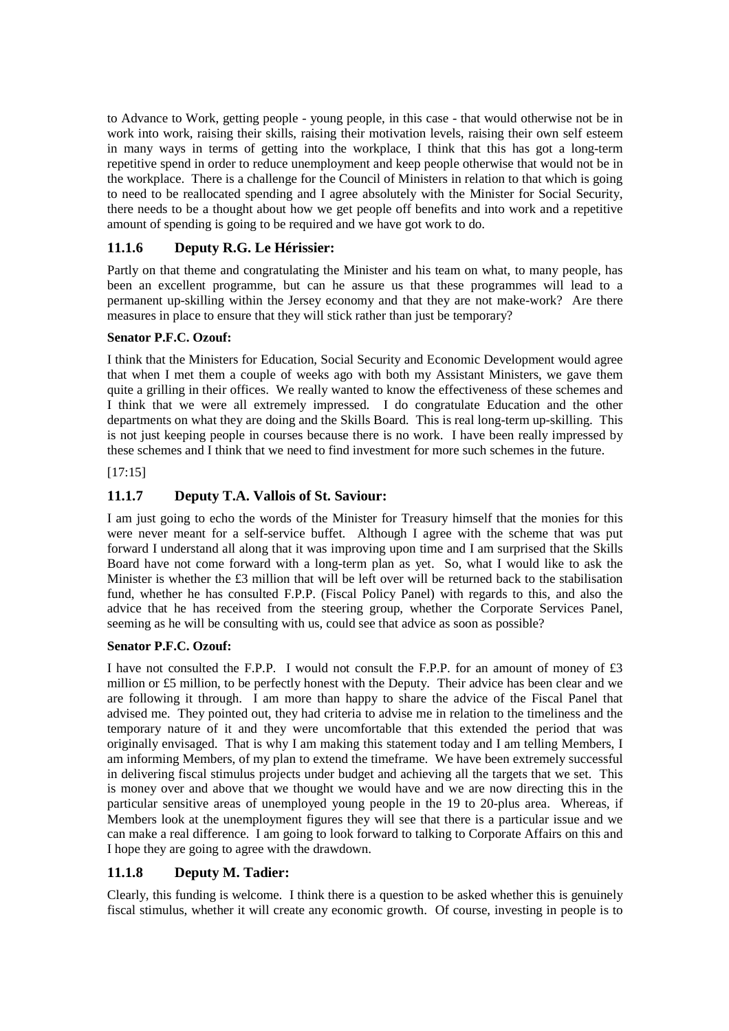to Advance to Work, getting people - young people, in this case - that would otherwise not be in work into work, raising their skills, raising their motivation levels, raising their own self esteem in many ways in terms of getting into the workplace, I think that this has got a long-term repetitive spend in order to reduce unemployment and keep people otherwise that would not be in the workplace. There is a challenge for the Council of Ministers in relation to that which is going to need to be reallocated spending and I agree absolutely with the Minister for Social Security, there needs to be a thought about how we get people off benefits and into work and a repetitive amount of spending is going to be required and we have got work to do.

# **11.1.6 Deputy R.G. Le Hérissier:**

Partly on that theme and congratulating the Minister and his team on what, to many people, has been an excellent programme, but can he assure us that these programmes will lead to a permanent up-skilling within the Jersey economy and that they are not make-work? Are there measures in place to ensure that they will stick rather than just be temporary?

## **Senator P.F.C. Ozouf:**

I think that the Ministers for Education, Social Security and Economic Development would agree that when I met them a couple of weeks ago with both my Assistant Ministers, we gave them quite a grilling in their offices. We really wanted to know the effectiveness of these schemes and I think that we were all extremely impressed. I do congratulate Education and the other departments on what they are doing and the Skills Board. This is real long-term up-skilling. This is not just keeping people in courses because there is no work. I have been really impressed by these schemes and I think that we need to find investment for more such schemes in the future.

### [17:15]

# **11.1.7 Deputy T.A. Vallois of St. Saviour:**

I am just going to echo the words of the Minister for Treasury himself that the monies for this were never meant for a self-service buffet. Although I agree with the scheme that was put forward I understand all along that it was improving upon time and I am surprised that the Skills Board have not come forward with a long-term plan as yet. So, what I would like to ask the Minister is whether the £3 million that will be left over will be returned back to the stabilisation fund, whether he has consulted F.P.P. (Fiscal Policy Panel) with regards to this, and also the advice that he has received from the steering group, whether the Corporate Services Panel, seeming as he will be consulting with us, could see that advice as soon as possible?

### **Senator P.F.C. Ozouf:**

I have not consulted the F.P.P. I would not consult the F.P.P. for an amount of money of £3 million or £5 million, to be perfectly honest with the Deputy. Their advice has been clear and we are following it through. I am more than happy to share the advice of the Fiscal Panel that advised me. They pointed out, they had criteria to advise me in relation to the timeliness and the temporary nature of it and they were uncomfortable that this extended the period that was originally envisaged. That is why I am making this statement today and I am telling Members, I am informing Members, of my plan to extend the timeframe. We have been extremely successful in delivering fiscal stimulus projects under budget and achieving all the targets that we set. This is money over and above that we thought we would have and we are now directing this in the particular sensitive areas of unemployed young people in the 19 to 20-plus area. Whereas, if Members look at the unemployment figures they will see that there is a particular issue and we can make a real difference. I am going to look forward to talking to Corporate Affairs on this and I hope they are going to agree with the drawdown.

# **11.1.8 Deputy M. Tadier:**

Clearly, this funding is welcome. I think there is a question to be asked whether this is genuinely fiscal stimulus, whether it will create any economic growth. Of course, investing in people is to